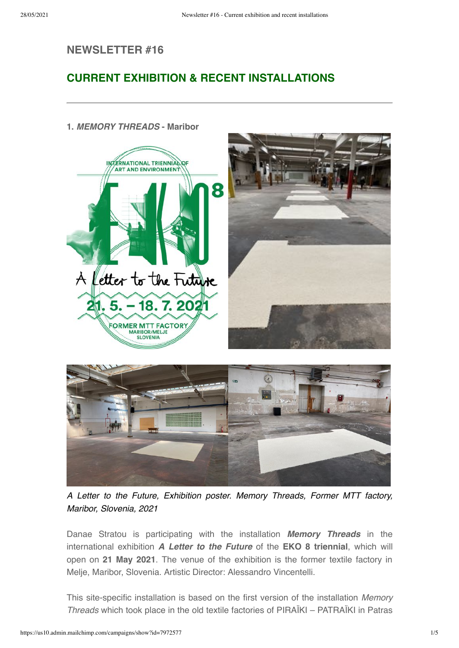## NEWSLETTER #16

# CURRENT EXHIBITION & RECENT INSTALLATIONS



### 1. MEMORY THREADS - Maribor

A Letter to the Future, Exhibition poster. Memory Threads, Former MTT factory, Maribor, Slovenia, 2021

Danae Stratou is participating with the installation **Memory Threads** in the international exhibition A Letter to the Future of the EKO 8 triennial, which will open on 21 May 2021. The venue of the exhibition is the former textile factory in Melje, Maribor, Slovenia. Artistic Director: Alessandro Vincentelli.

This site-specific installation is based on the first version of the installation Memory Threads which took place in the old textile factories of PIRAÏKI – PATRAÏKI in Patras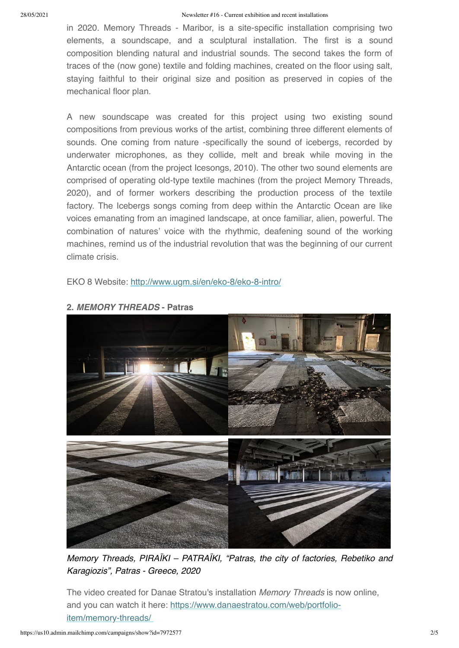in 2020. Memory Threads - Maribor, is a site-specific installation comprising two elements, a soundscape, and a sculptural installation. The first is a sound composition blending natural and industrial sounds. The second takes the form of traces of the (now gone) textile and folding machines, created on the floor using salt, staying faithful to their original size and position as preserved in copies of the mechanical floor plan.

A new soundscape was created for this project using two existing sound compositions from previous works of the artist, combining three different elements of sounds. One coming from nature -specifically the sound of icebergs, recorded by underwater microphones, as they collide, melt and break while moving in the Antarctic ocean (from the project Icesongs, 2010). The other two sound elements are comprised of operating old-type textile machines (from the project Memory Threads, 2020), and of former workers describing the production process of the textile factory. The Icebergs songs coming from deep within the Antarctic Ocean are like voices emanating from an imagined landscape, at once familiar, alien, powerful. The combination of natures' voice with the rhythmic, deafening sound of the working machines, remind us of the industrial revolution that was the beginning of our current climate crisis.

EKO 8 Website: <http://www.ugm.si/en/eko-8/eko-8-intro/>



#### 2. MEMORY THREADS - Patras

Memory Threads, PIRAÏKI – PATRAÏKI, "Patras, the city of factories, Rebetiko and Karagiozis", Patras - Greece, 2020

The video created for Danae Stratou's installation Memory Threads is now online, [and you can watch it here: https://www.danaestratou.com/web/portfolio](https://www.danaestratou.com/web/portfolio-item/memory-threads/)item/memory-threads/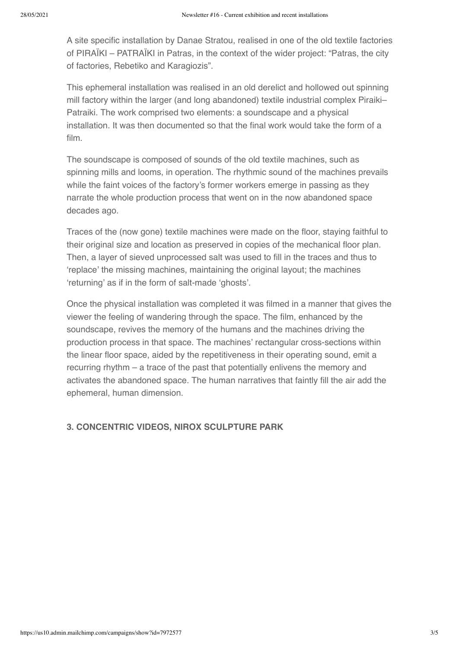A site specific installation by Danae Stratou, realised in one of the old textile factories of PIRAÏKI – PATRAÏKI in Patras, in the context of the wider project: "Patras, the city of factories, Rebetiko and Karagiozis".

This ephemeral installation was realised in an old derelict and hollowed out spinning mill factory within the larger (and long abandoned) textile industrial complex Piraiki– Patraiki. The work comprised two elements: a soundscape and a physical installation. It was then documented so that the final work would take the form of a film.

The soundscape is composed of sounds of the old textile machines, such as spinning mills and looms, in operation. The rhythmic sound of the machines prevails while the faint voices of the factory's former workers emerge in passing as they narrate the whole production process that went on in the now abandoned space decades ago.

Traces of the (now gone) textile machines were made on the floor, staying faithful to their original size and location as preserved in copies of the mechanical floor plan. Then, a layer of sieved unprocessed salt was used to fill in the traces and thus to 'replace' the missing machines, maintaining the original layout; the machines 'returning' as if in the form of salt-made 'ghosts'.

Once the physical installation was completed it was filmed in a manner that gives the viewer the feeling of wandering through the space. The film, enhanced by the soundscape, revives the memory of the humans and the machines driving the production process in that space. The machines' rectangular cross-sections within the linear floor space, aided by the repetitiveness in their operating sound, emit a recurring rhythm – a trace of the past that potentially enlivens the memory and activates the abandoned space. The human narratives that faintly fill the air add the ephemeral, human dimension.

#### 3. CONCENTRIC VIDEOS, NIROX SCULPTURE PARK